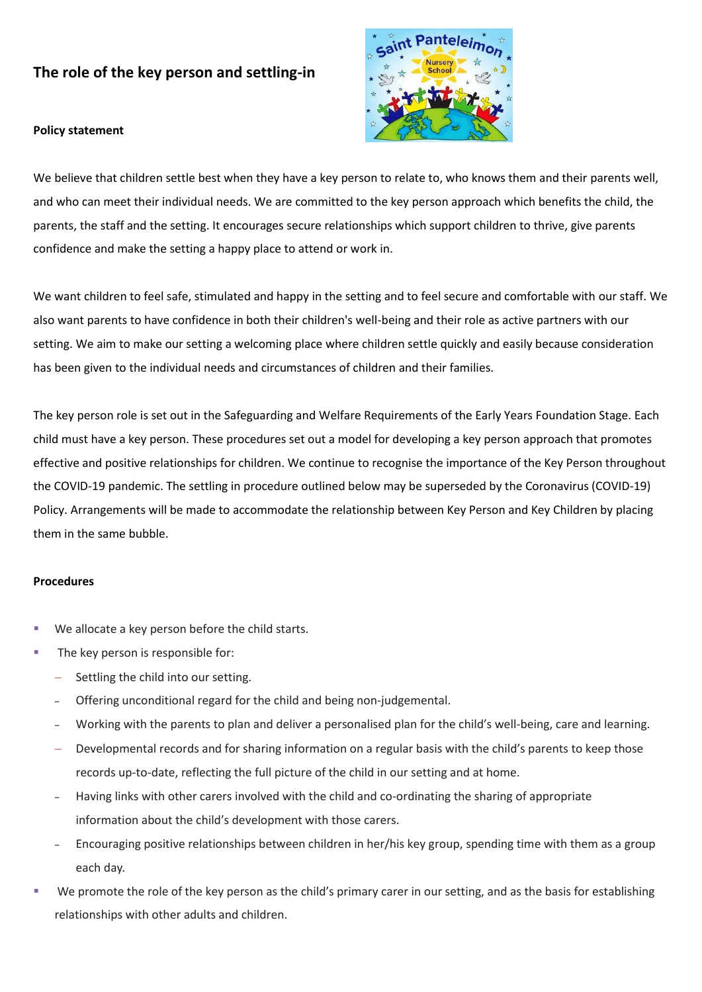# **The role of the key person and settling-in**



#### **Policy statement**

We believe that children settle best when they have a key person to relate to, who knows them and their parents well, and who can meet their individual needs. We are committed to the key person approach which benefits the child, the parents, the staff and the setting. It encourages secure relationships which support children to thrive, give parents confidence and make the setting a happy place to attend or work in.

We want children to feel safe, stimulated and happy in the setting and to feel secure and comfortable with our staff. We also want parents to have confidence in both their children's well-being and their role as active partners with our setting. We aim to make our setting a welcoming place where children settle quickly and easily because consideration has been given to the individual needs and circumstances of children and their families.

The key person role is set out in the Safeguarding and Welfare Requirements of the Early Years Foundation Stage. Each child must have a key person. These procedures set out a model for developing a key person approach that promotes effective and positive relationships for children. We continue to recognise the importance of the Key Person throughout the COVID-19 pandemic. The settling in procedure outlined below may be superseded by the Coronavirus (COVID-19) Policy. Arrangements will be made to accommodate the relationship between Key Person and Key Children by placing them in the same bubble.

#### **Procedures**

- We allocate a key person before the child starts.
- The key person is responsible for:
	- Settling the child into our setting.
	- ‒ Offering unconditional regard for the child and being non-judgemental.
	- Working with the parents to plan and deliver a personalised plan for the child's well-being, care and learning.
	- Developmental records and for sharing information on a regular basis with the child's parents to keep those records up-to-date, reflecting the full picture of the child in our setting and at home.
	- ‒ Having links with other carers involved with the child and co-ordinating the sharing of appropriate information about the child's development with those carers.
	- ‒ Encouraging positive relationships between children in her/his key group, spending time with them as a group each day.
- We promote the role of the key person as the child's primary carer in our setting, and as the basis for establishing relationships with other adults and children.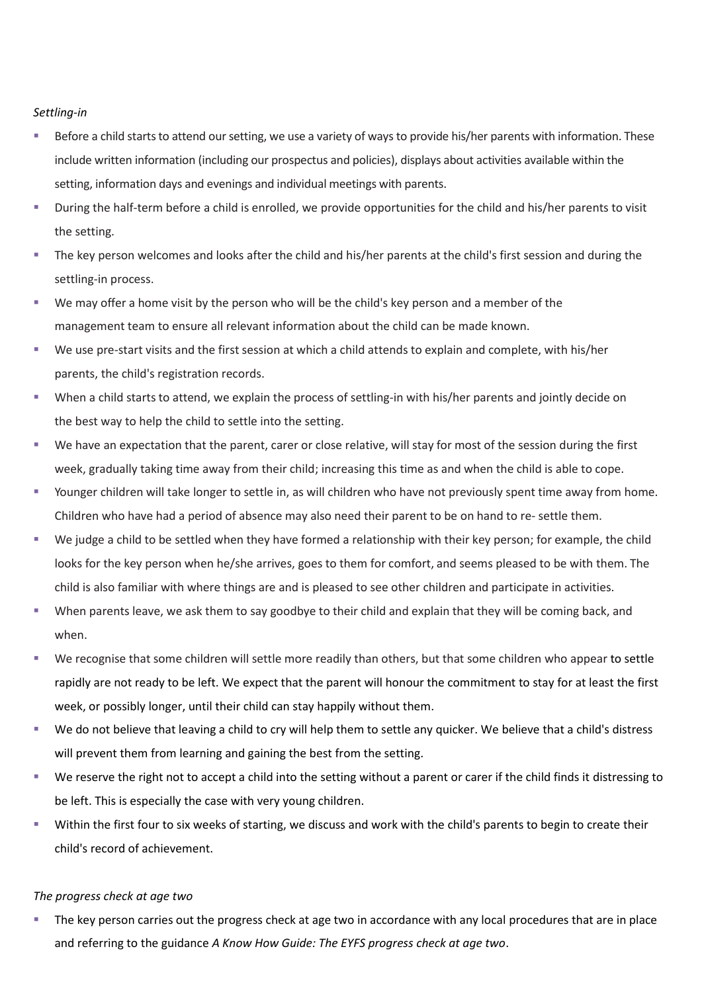## *Settling-in*

- Before a child starts to attend our setting, we use a variety of ways to provide his/her parents with information. These include written information (including our prospectus and policies), displays about activities available within the setting, information days and evenings and individual meetings with parents.
- During the half-term before a child is enrolled, we provide opportunities for the child and his/her parents to visit the setting.
- The key person welcomes and looks after the child and his/her parents at the child's first session and during the settling-in process.
- We may offer a home visit by the person who will be the child's key person and a member of the management team to ensure all relevant information about the child can be made known.
- We use pre-start visits and the first session at which a child attends to explain and complete, with his/her parents, the child's registration records.
- When a child starts to attend, we explain the process of settling-in with his/her parents and jointly decide on the best way to help the child to settle into the setting.
- We have an expectation that the parent, carer or close relative, will stay for most of the session during the first week, gradually taking time away from their child; increasing this time as and when the child is able to cope.
- Younger children will take longer to settle in, as will children who have not previously spent time away from home. Children who have had a period of absence may also need their parent to be on hand to re- settle them.
- We judge a child to be settled when they have formed a relationship with their key person; for example, the child looks for the key person when he/she arrives, goes to them for comfort, and seems pleased to be with them. The child is also familiar with where things are and is pleased to see other children and participate in activities.
- When parents leave, we ask them to say goodbye to their child and explain that they will be coming back, and when.
- We recognise that some children will settle more readily than others, but that some children who appear to settle rapidly are not ready to be left. We expect that the parent will honour the commitment to stay for at least the first week, or possibly longer, until their child can stay happily without them.
- We do not believe that leaving a child to cry will help them to settle any quicker. We believe that a child's distress will prevent them from learning and gaining the best from the setting.
- We reserve the right not to accept a child into the setting without a parent or carer if the child finds it distressing to be left. This is especially the case with very young children.
- Within the first four to six weeks of starting, we discuss and work with the child's parents to begin to create their child's record of achievement.

### *The progress check at age two*

The key person carries out the progress check at age two in accordance with any local procedures that are in place and referring to the guidance *A Know How Guide: The EYFS progress check at age two*.